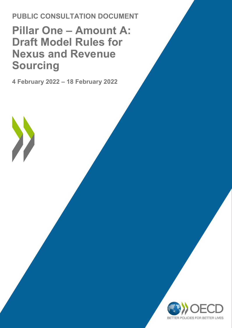**PUBLIC CONSULTATION DOCUMENT**

## **Pillar One – Amount A: Draft Model Rules for Nexus and Revenue Sourcing**

**4 February 2022 – 18 February 2022**

 $\sum_{i=1}^{n}$ 

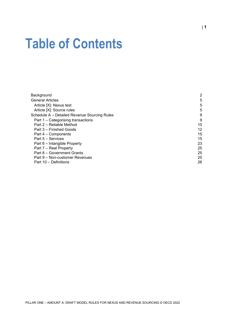# **Table of Contents**

| Background                                   | 2  |
|----------------------------------------------|----|
| <b>General Articles</b>                      | 5  |
| Article [X]: Nexus test                      | 5  |
| Article [X]: Source rules                    | 5  |
| Schedule A - Detailed Revenue Sourcing Rules | 9  |
| Part 1 – Categorising transactions           | 9  |
| Part 2 – Reliable Method                     | 10 |
| Part 3 – Finished Goods                      | 12 |
| Part 4 - Components                          | 15 |
| Part 5 - Services                            | 15 |
| Part 6 – Intangible Property                 | 23 |
| Part 7 - Real Property                       | 25 |
| Part 8 – Government Grants                   | 25 |
| Part 9 – Non-customer Revenues               | 25 |
| Part 10 – Definitions                        | 26 |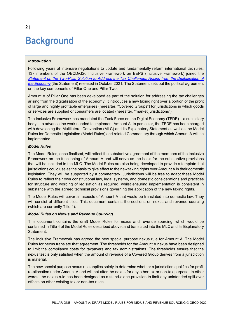## <span id="page-2-0"></span>**Background**

#### *Introduction*

Following years of intensive negotiations to update and fundamentally reform international tax rules, 137 members of the OECD/G20 Inclusive Framework on BEPS (Inclusive Framework) joined the *[Statement on the Two-Pillar Solution to Address the Tax Challenges Arising from the Digitalisation of](https://www.oecd.org/tax/beps/statement-on-a-two-pillar-solution-to-address-the-tax-challenges-arising-from-the-digitalisation-of-the-economy-october-2021.htm)  [the Economy](https://www.oecd.org/tax/beps/statement-on-a-two-pillar-solution-to-address-the-tax-challenges-arising-from-the-digitalisation-of-the-economy-october-2021.htm)* (the Statement) released in October 2021. The Statement sets out the political agreement on the key components of Pillar One and Pillar Two.

Amount A of Pillar One has been developed as part of the solution for addressing the tax challenges arising from the digitalisation of the economy. It introduces a new taxing right over a portion of the profit of large and highly profitable enterprises (hereafter, "Covered Groups") for jurisdictions in which goods or services are supplied or consumers are located (hereafter, "market jurisdictions").

The Inclusive Framework has mandated the Task Force on the Digital Economy (TFDE) – a subsidiary body – to advance the work needed to implement Amount A. In particular, the TFDE has been charged with developing the Multilateral Convention (MLC) and its Explanatory Statement as well as the Model Rules for Domestic Legislation (Model Rules) and related Commentary through which Amount A will be implemented.

#### *Model Rules*

The Model Rules, once finalised, will reflect the substantive agreement of the members of the Inclusive Framework on the functioning of Amount A and will serve as the basis for the substantive provisions that will be included in the MLC. The Model Rules are also being developed to provide a template that jurisdictions could use as the basis to give effect to the new taxing rights over Amount A in their domestic legislation. They will be supported by a commentary. Jurisdictions will be free to adapt these Model Rules to reflect their own constitutional law, legal systems, and domestic considerations and practices for structure and wording of legislation as required, whilst ensuring implementation is consistent in substance with the agreed technical provisions governing the application of the new taxing rights.

The Model Rules will cover all aspects of Amount A that would be translated into domestic law. They will consist of different titles. This document contains the sections on nexus and revenue sourcing (which are currently Title 4).

#### *Model Rules on Nexus and Revenue Sourcing*

This document contains the draft Model Rules for nexus and revenue sourcing, which would be contained in Title 4 of the Model Rules described above, and translated into the MLC and its Explanatory Statement.

The Inclusive Framework has agreed the new special purpose nexus rule for Amount A. The Model Rules for nexus translate that agreement. The thresholds for the Amount A nexus have been designed to limit the compliance costs for taxpayers and tax administrations. The thresholds ensure that the nexus test is only satisfied when the amount of revenue of a Covered Group derives from a jurisdiction is material.

The new special purpose nexus rule applies solely to determine whether a jurisdiction qualifies for profit re-allocation under Amount A and will not alter the nexus for any other tax or non-tax purpose. In other words, the nexus rule has been designed as a stand-alone provision to limit any unintended spill-over effects on other existing tax or non-tax rules.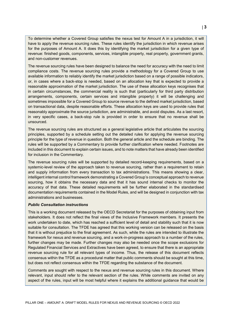To determine whether a Covered Group satisfies the nexus test for Amount A in a jurisdiction, it will have to apply the revenue sourcing rules. These rules identify the jurisdiction in which revenue arises for the purposes of Amount A. It does this by identifying the market jurisdiction for a given type of revenue: finished goods, components, services, intangible property, real property, government grants, and non-customer revenues.

The revenue sourcing rules have been designed to balance the need for accuracy with the need to limit compliance costs. The revenue sourcing rules provide a methodology for a Covered Group to use available information to reliably identify the market jurisdiction based on a range of possible indicators, or, in cases where a back-stop is needed, based on an allocation key that is expected to provide a reasonable approximation of the market jurisdiction. The use of these allocation keys recognises that in certain circumstances, the commercial reality is such that (particularly for third party distribution arrangements, components, certain services and intangible property) it will be challenging and sometimes impossible for a Covered Group to source revenue to the defined market jurisdiction, based on transactional data, despite reasonable efforts. These allocation keys are used to provide rules that reasonably approximate the source jurisdiction, are administrable, and avoid disputes. As a last resort, in very specific cases, a back-stop rule is provided in order to ensure that no revenue shall be unsourced.

The revenue sourcing rules are structured as a general legislative article that articulates the sourcing principles, supported by a schedule setting out the detailed rules for applying the revenue sourcing principle for the type of revenue in question. Both the general article and the schedule are binding. The rules will be supported by a Commentary to provide further clarification where needed. Footnotes are included in this document to explain certain issues, and to note matters that have already been identified for inclusion in the Commentary.

The revenue sourcing rules will be supported by detailed record-keeping requirements, based on a systemic-level review of the approach taken to revenue sourcing, rather than a requirement to retain and supply information from every transaction to tax administrations. This means showing a clear, intelligent internal control framework demonstrating a Covered Group's conceptual approach to revenue sourcing, how it obtains the necessary data and that it has sound internal checks to monitor the accuracy of that data. These detailed requirements will be further elaborated in the standardised documentation requirements contained in the Model Rules, and will be designed in conjunction with tax administrations and businesses.

#### *Public Consultation instructions*

This is a working document released by the OECD Secretariat for the purposes of obtaining input from stakeholders. It does not reflect the final views of the Inclusive Framework members. It presents the work undertaken to date, which has reached a sufficient level of detail and stability such that it is now suitable for consultation. The TFDE has agreed that this working version can be released on the basis that it is without prejudice to the final agreement. As such, while the rules are intended to illustrate the framework for nexus and revenue sourcing, and a work-in-progress approach to a number of the rules, further changes may be made. Further changes may also be needed once the scope exclusions for Regulated Financial Services and Extractives have been agreed, to ensure that there is an appropriate revenue sourcing rule for all relevant types of income. Thus, the release of this document reflects consensus within the TFDE as a procedural matter that public comments should be sought at this time, but does not reflect consensus within the TFDE regarding the substance of the document.

Comments are sought with respect to the nexus and revenue sourcing rules in this document. Where relevant, input should refer to the relevant section of the rules. While comments are invited on any aspect of the rules, input will be most helpful where it explains the additional guidance that would be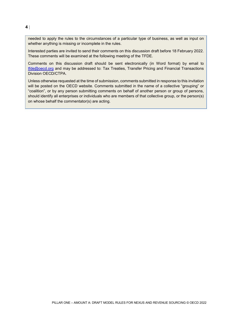needed to apply the rules to the circumstances of a particular type of business, as well as input on whether anything is missing or incomplete in the rules.

Interested parties are invited to send their comments on this discussion draft before 18 February 2022. These comments will be examined at the following meeting of the TFDE.

Comments on this discussion draft should be sent electronically (in Word format) by email to [tfde@oecd.org](mailto:tfde@oecd.org) and may be addressed to: Tax Treaties, Transfer Pricing and Financial Transactions Division OECD/CTPA.

Unless otherwise requested at the time of submission, comments submitted in response to this invitation will be posted on the OECD website. Comments submitted in the name of a collective "grouping" or "coalition", or by any person submitting comments on behalf of another person or group of persons, should identify all enterprises or individuals who are members of that collective group, or the person(s) on whose behalf the commentator(s) are acting.

PILLAR ONE – AMOUNT A: DRAFT MODEL RULES FOR NEXUS AND REVENUE SOURCING © OECD 2022

#### **4** |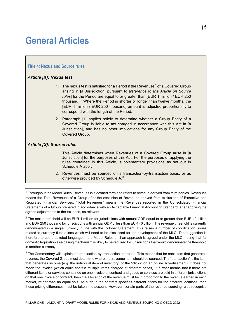## <span id="page-5-0"></span>**General Articles**

#### **Title 4: Nexus and Source rules**

#### <span id="page-5-1"></span>*Article [X]: Nexus test*

- [1](#page-5-3). The nexus test is satisfied for a Period if the Revenues<sup>1</sup> of a Covered Group arising in [a Jurisdiction] pursuant to [*reference to the Article on Source rules*] for the Period are equal to or greater than [EUR 1 million / EUR 250 thousand].<sup>[2](#page-5-4)</sup> Where the Period is shorter or longer than twelve months, the [EUR 1 million / EUR 250 thousand] amount is adjusted proportionally to correspond with the length of the Period.
- 2. Paragraph [1] applies solely to determine whether a Group Entity of a Covered Group is liable to tax charged in accordance with this Act in [a Jurisdiction], and has no other implications for any Group Entity of the Covered Group.

#### <span id="page-5-2"></span>*Article [X]: Source rules*

- 1. This Article determines when Revenues of a Covered Group arise in [a Jurisdiction] for the purposes of this Act. For the purposes of applying the rules contained in this Article, supplementary provisions as set out in Schedule A apply.
- 2. Revenues must be sourced on a transaction-by-transaction basis, or as otherwise provided by Schedule A.<sup>[3](#page-5-5)</sup>

<span id="page-5-4"></span> $2$  The nexus threshold will be EUR 1 million for jurisdictions with annual GDP equal to or greater than EUR 40 billion and EUR 250 thousand for jurisdictions with annual GDP of less than EUR 40 billion. The revenue threshold is currently denominated in a single currency in line with the October Statement. This raises a number of coordination issues related to currency fluctuations which will need to be discussed for the development of the MLC. The suggestion is therefore to use bracketed language in the Model Rules until an approach is agreed under the MLC, noting that for domestic legislation a re-basing mechanism is likely to be required for jurisdictions that would denominate the threshold in another currency.

<span id="page-5-5"></span> $3$  The Commentary will explain the transaction-by-transaction approach. This means that for each item that generates revenue, the Covered Group must determine where that revenue item should be sourced. The "transaction" is the item that generates income (e.g. the individual item of inventory, or the "clicks" on an online advertisement); it does not mean the invoice (which could contain multiple items charged at different prices). It further means that if there are different items or services contained on one invoice or contract and goods or services are sold in different jurisdictions on that one invoice or contract, then the allocation of the revenue must be in proportion to the revenue earned in each market, rather than an equal split. As such, if the contract specifies different prices for the different locations, then these pricing differences must be taken into account. However, certain parts of the revenue sourcing rules recognise

<span id="page-5-3"></span> $1$  Throughout the Model Rules, Revenues is a defined term and refers to revenue derived from third parties. Revenues means the Total Revenues of a Group after the exclusion of Revenues derived from exclusions of Extractive and Regulated Financial Services. "Total Revenues" means the Revenues reported in the Consolidated Financial Statements of a Group prepared in accordance with an Acceptable Financial Accounting Standard, after applying the agreed adjustments to the tax base, as relevant.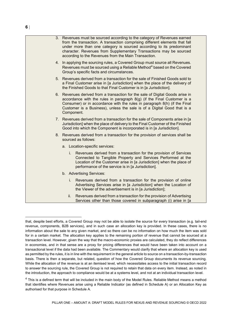| 3. Revenues must be sourced according to the category of Revenues earned<br>from the transaction. A transaction comprising different elements that fall<br>under more than one category is sourced according to its predominant<br>character. Revenues from Supplementary Transactions may be sourced<br>according to the Revenues from the Main Transaction. |
|---------------------------------------------------------------------------------------------------------------------------------------------------------------------------------------------------------------------------------------------------------------------------------------------------------------------------------------------------------------|
| 4. In applying the sourcing rules, a Covered Group must source all Revenues.<br>Revenues must be sourced using a Reliable Method <sup>4</sup> based on the Covered<br>Group's specific facts and circumstances.                                                                                                                                               |
| 5. Revenues derived from a transaction for the sale of Finished Goods sold to<br>a Final Customer arise in [a Jurisdiction] when the place of the delivery of<br>the Finished Goods to that Final Customer is in [a Jurisdiction].                                                                                                                            |
| 6. Revenues derived from a transaction for the sale of Digital Goods arise in<br>accordance with the rules in paragraph $8(g)$ (if the Final Customer is a<br>Consumer) or in accordance with the rules in paragraph 8(h) (if the Final<br>Customer is a Business), unless the sale is of a Digital Good that is a<br>Component.                              |
| 7. Revenues derived from a transaction for the sale of Components arise in [a<br>Jurisdiction] when the place of delivery to the Final Customer of the Finished<br>Good into which the Component is incorporated is in [a Jurisdiction].                                                                                                                      |
| 8. Revenues derived from a transaction for the provision of services shall be<br>sourced as follows:                                                                                                                                                                                                                                                          |
| a. Location-specific services:                                                                                                                                                                                                                                                                                                                                |
| i.<br>Revenues derived from a transaction for the provision of Services<br>Connected to Tangible Property and Services Performed at the<br>Location of the Customer arise in [a Jurisdiction] when the place of<br>performance of the service is in [a Jurisdiction].                                                                                         |
| b. Advertising Services:                                                                                                                                                                                                                                                                                                                                      |
| Revenues derived from a transaction for the provision of online<br>i.<br>Advertising Services arise in [a Jurisdiction] when the Location of<br>the Viewer of the advertisement is in [a Jurisdiction];                                                                                                                                                       |
| Revenues derived from a transaction for the provision of Advertising<br>ii.<br>Services other than those covered in subparagraph (i) arise in [a                                                                                                                                                                                                              |

that, despite best efforts, a Covered Group may not be able to isolate the source for every transaction (e.g. tail-end revenue, components, B2B services), and in such case an allocation key is provided. In these cases, there is no information about the sale to any given market, and so there can be no information on how much the item was sold for in a certain market. The allocation key applies to the remaining portion of revenue that cannot be sourced at a transaction level. However, given the way that the macro-economic proxies are calculated, they do reflect differences in economies, and in that sense are a proxy for pricing differences that would have been taken into account on a transactional level if the data had been available. The Commentary would clarify that where an allocation key is used as permitted by the rules, it is in line with the requirement in the general article to source on a transaction-by-transaction basis. There is then a separate, but related, question of how the Covered Group documents its revenue sourcing. While the allocation of the revenue is at an itemised level, which necessitates access to the initial transaction record to answer the sourcing rule, the Covered Group is not required to retain that data on every item. Instead, as noted in the introduction, the approach to compliance would be at a systems level, and not at an individual transaction level.

<span id="page-6-0"></span> $4$  This is a defined term that will be included in the main body of the Model Rules. Reliable Method means a method that identifies where Revenues arise using a Reliable Indicator (as defined in Schedule A) or an Allocation Key as authorised for that purpose in Schedule A.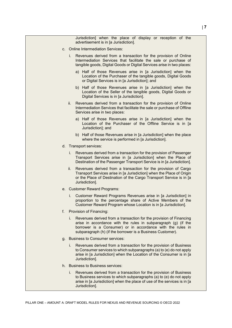Jurisdiction] when the place of display or reception of the advertisement is in [a Jurisdiction].

- c. Online Intermediation Services:
	- Revenues derived from a transaction for the provision of Online Intermediation Services that facilitate the sale or purchase of tangible goods, Digital Goods or Digital Services arise in two places:
		- a) Half of those Revenues arise in [a Jurisdiction] when the Location of the Purchaser of the tangible goods, Digital Goods or Digital Services is in [a Jurisdiction]; and
		- b) Half of those Revenues arise in [a Jurisdiction] when the Location of the Seller of the tangible goods, Digital Goods or Digital Services is in [a Jurisdiction].
	- ii. Revenues derived from a transaction for the provision of Online Intermediation Services that facilitate the sale or purchase of Offline Services arise in two places:
		- a) Half of those Revenues arise in [a Jurisdiction] when the Location of the Purchaser of the Offline Service is in [a Jurisdiction]; and
		- b) Half of those Revenues arise in [a Jurisdiction] when the place where the service is performed in [a Jurisdiction].
- d. Transport services:
	- i. Revenues derived from a transaction for the provision of Passenger Transport Services arise in [a Jurisdiction] when the Place of Destination of the Passenger Transport Service is in [a Jurisdiction].
	- ii. Revenues derived from a transaction for the provision of Cargo Transport Services arise in [a Jurisdiction] when the Place of Origin or the Place of Destination of the Cargo Transport Service is in [a Jurisdiction].
- e. Customer Reward Programs:
	- Customer Reward Programs Revenues arise in [a Jurisdiction] in proportion to the percentage share of Active Members of the Customer Reward Program whose Location is in [a Jurisdiction].
- f. Provision of Financing:
	- i. Revenues derived from a transaction for the provision of Financing arise in accordance with the rules in subparagraph (g) (if the borrower is a Consumer) or in accordance with the rules in subparagraph (h) (if the borrower is a Business Customer).
- g. Business to Consumer services:
	- i. Revenues derived from a transaction for the provision of Business to Consumer services to which subparagraphs (a) to (e) do not apply arise in [a Jurisdiction] when the Location of the Consumer is in [a Jurisdiction].
- h. Business to Business services:
	- i. Revenues derived from a transaction for the provision of Business to Business services to which subparagraphs (a) to (e) do not apply arise in [a Jurisdiction] when the place of use of the services is in [a Jurisdiction].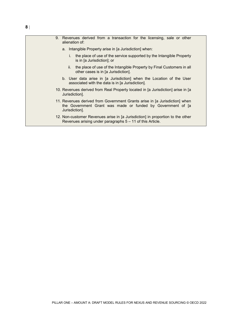| 9. Revenues derived from a transaction for the licensing, sale or other<br>alienation of:                                                                   |
|-------------------------------------------------------------------------------------------------------------------------------------------------------------|
| a. Intangible Property arise in [a Jurisdiction] when:                                                                                                      |
| i. the place of use of the service supported by the Intangible Property<br>is in [a Jurisdiction]; or                                                       |
| ii.<br>the place of use of the Intangible Property by Final Customers in all<br>other cases is in [a Jurisdiction].                                         |
| b. User data arise in [a Jurisdiction] when the Location of the User<br>associated with the data is in [a Jurisdiction].                                    |
| 10. Revenues derived from Real Property located in [a Jurisdiction] arise in [a<br>Jurisdiction].                                                           |
| 11. Revenues derived from Government Grants arise in [a Jurisdiction] when<br>the Government Grant was made or funded by Government of [a<br>Jurisdiction]. |
| 12. Non-customer Revenues arise in [a Jurisdiction] in proportion to the other                                                                              |

Revenues arising under paragraphs 5 – 11 of this Article.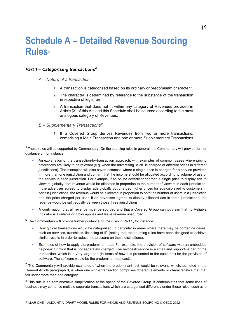## <span id="page-9-0"></span>**Schedule A – Detailed Revenue Sourcing Rules[5](#page-9-2)**

#### <span id="page-9-1"></span>*Part 1 – Categorising transactions[6](#page-9-3)*

*A – Nature of a transaction* 

- 1. A transaction is categorised based on its ordinary or predominant character.<sup>[7](#page-9-4)</sup>
- 2. The character is determined by reference to the substance of the transaction irrespective of legal form.
- 3. A transaction that does not fit within any category of Revenues provided in Article [X] of this Act and this Schedule shall be sourced according to the most analogous category of Revenues.

#### *B – Supplementary Transactions[8](#page-9-5)*

1. If a Covered Group derives Revenues from two or more transactions, comprising a Main Transaction and one or more Supplementary Transactions

- An explanation of the transaction-by-transaction approach, with examples of common cases where pricing differences are likely to be relevant (e.g. when the advertising "click" is charged at different prices in different jurisdictions). The examples will also cover instances where a single price is charged for a service provided in more than one jurisdiction and confirm that the income should be allocated according to volume of use of the service in each jurisdiction. For example, if an online advertiser charged a single price to display ads to viewers globally, that revenue would be allocated in proportion to the number of viewers in each jurisdiction. If the advertiser agreed to display ads globally but charged higher prices for ads displayed to customers in certain jurisdictions, the revenue would be allocated in proportion to both the number of users in a jurisdiction and the price charged per user. If an advertiser agreed to display billboard ads in three jurisdictions, the revenue would be split equally between those three jurisdictions.
- A confirmation that all revenue must be sourced and that a Covered Group cannot claim that no Reliable Indicator is available or proxy applies and leave revenue unsourced.

<span id="page-9-3"></span> $6$  The Commentary will provide further guidance on the rules in Part 1, for instance:

- How typical transactions would be categorised, in particular in areas where there may be borderline cases, such as services, franchises, licensing of IP (noting that the sourcing rules have been designed to achieve similar results in order to reduce the pressure on these distinctions).
- Examples of how to apply the predominant test. For example, the provision of software with an embedded helpdesk function that is not separately charged. The helpdesk service is a small and supportive part of the transaction, which is in very large part (in terms of how it is presented to the customer) for the provision of software. The software would be the predominant transaction.

<span id="page-9-4"></span> $7$  The Commentary will provide examples of when the predominant test would be relevant, which, as noted in the General Article paragraph 3, is when one single transaction comprises different elements or characteristics that that fall under more than one category.

<span id="page-9-5"></span> $8$  This rule is an administrative simplification at the option of the Covered Group. It contemplates that some lines of business may comprise multiple separate transactions which are categorised differently under these rules, such as a

<span id="page-9-2"></span> $5$  These rules will be supported by Commentary. On the sourcing rules in general, the Commentary will provide further guidance on for instance: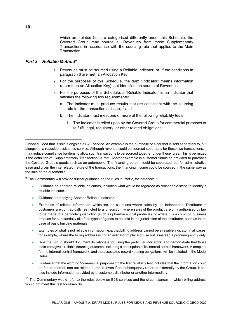which are related but are categorised differently under this Schedule, the Covered Group may source all Revenues from those Supplementary Transactions in accordance with the sourcing rule that applies to the Main Transaction.

#### <span id="page-10-0"></span>*Part 2 – Reliable Method[9](#page-10-1)*

- 1. Revenues must be sourced using a Reliable Indicator, or, if the conditions in paragraph 6 are met, an Allocation Key.
- 2. For the purposes of this Schedule, the term "Indicator" means information (other than an Allocation Key) that identifies the source of Revenues.
- 3. For the purposes of this Schedule, a "Reliable Indicator" is an Indicator that satisfies the following two requirements:
	- a. The Indicator must produce results that are consistent with the sourcing rule for the transaction at issue;  $10$  and
	- b. The Indicator must meet one or more of the following reliability tests:
		- i. The Indicator is relied upon by the Covered Group for commercial purposes or to fulfil legal, regulatory, or other related obligations;

<span id="page-10-1"></span> $9$  The Commentary will provide further guidance on the rules in Part 2, for instance:

- Guidance on applying reliable indicators, including what would be regarded as reasonable steps to identify a reliable indicator.
- Guidance on applying Another Reliable Indicator.
- Examples of reliable information, which include situations where sales by the Independent Distributor to customers are contractually restricted to a jurisdiction, where sales of the product are only authorised by law to be made to a particular jurisdiction (such as pharmaceutical products), or where it is a common business practice for substantially all of the types of goods to be sold in the jurisdiction of the distributor, such as in the case of basic building materials.
- Examples of what is not reliable information, e.g. that billing address cannot be a reliable indicator in all cases, for example, where the billing address is not an indicator of place of use but is instead a procuring entity only.
- How the Group should document its rationale for using the particular indicators, and demonstrate that those indicators give a reliable sourcing outcome, including a description of its internal control framework. A template for the internal control framework, and the associated record keeping obligations, will be included in the Model Rules.
- Guidance that the wording "commercial purposes" in the first reliability test includes that the information could be for an internal, non-tax related purpose, even if not subsequently reported externally by the Group. It can also include information provided by a customer, distributor or another intermediary.

<span id="page-10-2"></span> $10$  The Commentary would refer to the rules below on B2B services and the circumstances in which billing address would not meet this test for reliability.

Finished Good that is sold alongside a B2C service. An example is the purchase of a car that is sold separately to, but alongside, a roadside assistance service. Although revenue could be sourced separately for those two transactions, it may reduce compliance burdens to allow such transactions to be sourced together under these rules. This is permitted if the definition of "Supplementary Transaction" is met. Another example is customer financing provided to purchase the Covered Group's goods such as an automobile. The financing portion could be separated, but for administrative ease and given the interrelated nature of the transactions, the financing income could be sourced in the same way as the sale of the automobile.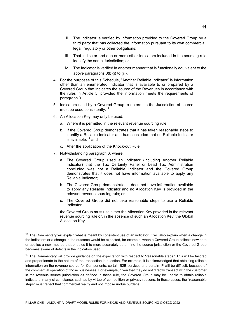- ii. The Indicator is verified by information provided to the Covered Group by a third party that has collected the information pursuant to its own commercial, legal, regulatory or other obligations;
- iii. That Indicator and one or more other Indicators included in the sourcing rule identify the same Jurisdiction; or
- iv. The Indicator is verified in another manner that is functionally equivalent to the above paragraphs 3(b)(i) to (iii).
- 4. For the purposes of this Schedule, "Another Reliable Indicator" is information other than an enumerated Indicator that is available to or prepared by a Covered Group that indicates the source of the Revenues in accordance with the rules in Article 5, provided the information meets the requirements of paragraph 3.
- 5. Indicators used by a Covered Group to determine the Jurisdiction of source must be used consistently.<sup>[11](#page-11-0)</sup>
- 6. An Allocation Key may only be used:
	- a. Where it is permitted in the relevant revenue sourcing rule;
	- b. If the Covered Group demonstrates that it has taken reasonable steps to identify a Reliable Indicator and has concluded that no Reliable Indicator is available:  $12$  and
	- c. After the application of the Knock-out Rule.
- 7. Notwithstanding paragraph 6, where:
	- a. The Covered Group used an Indicator (including Another Reliable Indicator) that the Tax Certainty Panel or Lead Tax Administration concluded was not a Reliable Indicator and the Covered Group demonstrates that it does not have information available to apply any Reliable Indicator;
	- b. The Covered Group demonstrates it does not have information available to apply any Reliable Indicator and no Allocation Key is provided in the relevant revenue sourcing rule; or
	- c. The Covered Group did not take reasonable steps to use a Reliable Indicator,

the Covered Group must use either the Allocation Key provided in the relevant revenue sourcing rule or, in the absence of such an Allocation Key, the Global Allocation Key.

<span id="page-11-0"></span> $11$  The Commentary will explain what is meant by consistent use of an indicator. It will also explain when a change in the indicators or a change in the outcome would be expected, for example, when a Covered Group collects new data or applies a new method that enables it to more accurately determine the source jurisdiction or the Covered Group becomes aware of defects in the indicators used.

<span id="page-11-1"></span> $12$  The Commentary will provide guidance on the expectation with respect to "reasonable steps." This will be tailored and proportionate to the nature of the transaction in question. For example, it is acknowledged that obtaining reliable information on the revenue source for Components, certain B2B services and certain IP will be difficult, because of the commercial operation of those businesses. For example, given that they do not directly transact with the customer in the revenue source jurisdiction as defined in these rule, the Covered Group may be unable to obtain reliable indicators in any circumstance, such as by virtue of competition or privacy reasons. In these cases, the "reasonable steps" must reflect that commercial reality and not impose undue burdens.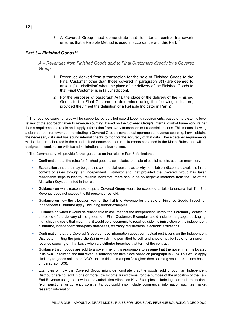8. A Covered Group must demonstrate that its internal control framework ensures that a Reliable Method is used in accordance with this Part.<sup>[13](#page-12-1)</sup>

#### <span id="page-12-0"></span>*Part 3 – Finished Goods[14](#page-12-2)*

*A – Revenues from Finished Goods sold to Final Customers directly by a Covered Group*

- 1. Revenues derived from a transaction for the sale of Finished Goods to the Final Customer other than those covered in paragraph B(1) are deemed to arise in [a Jurisdiction] when the place of the delivery of the Finished Goods to that Final Customer is in [a Jurisdiction].
- 2. For the purposes of paragraph A(1), the place of the delivery of the Finished Goods to the Final Customer is determined using the following Indicators, provided they meet the definition of a Reliable Indicator in Part 2:

<span id="page-12-2"></span> $14$  The Commentary will provide further guidance on the rules in Part 3, for instance:

- Confirmation that the rules for finished goods also includes the sale of capital assets, such as machinery.
- Explanation that there may be genuine commercial reasons as to why no reliable indictors are available in the context of sales through an Independent Distributor and that provided the Covered Group has taken reasonable steps to identify Reliable Indicators, there should be no negative inference from the use of the Allocation Keys permitted in the rule.
- Guidance on what reasonable steps a Covered Group would be expected to take to ensure that Tail-End Revenue does not exceed the [5] percent threshold.
- Guidance on how the allocation key for the Tail-End Revenue for the sale of Finished Goods through an Independent Distributor apply, including further examples.
- Guidance on when it would be reasonable to assume that the Independent Distributor is ordinarily located in the place of the delivery of the goods to a Final Customer. Examples could include: language, packaging, high shipping costs that mean that it would be uneconomic to resell outside the jurisdiction of the independent distributor, independent third-party databases, warranty registrations, electronic activations.
- Confirmation that the Covered Group can use information about contractual restrictions on the Independent Distributor limiting the jurisdiction(s) in which it is permitted to sell, and should not be liable for an error in revenue sourcing on that basis when a distributor breaches that term of the contract.
- Guidance that if goods are sold to a government, it is reasonable to assume that the government is located in its own jurisdiction and that revenue sourcing can take place based on paragraph B(2)(b). This would apply similarly to goods sold to an NGO, unless this is in a specific region; then sourcing would take place based on paragraph B(3).
- Examples of how the Covered Group might demonstrate that the goods sold through an Independent Distributor are not sold in one or more Low Income Jurisdictions, for the purpose of the allocation of the Tail-End Revenue using the Low Income Jurisdiction Allocation Key. Examples include legal or trade restrictions (e.g. sanctions) or currency constraints, but could also include commercial information such as market research information.

<span id="page-12-1"></span> $13$  The revenue sourcing rules will be supported by detailed record-keeping requirements, based on a systemic-level review of the approach taken to revenue sourcing, based on the Covered Group's internal control framework, rather than a requirement to retain and supply information from every transaction to tax administrations. This means showing a clear control framework demonstrating a Covered Group's conceptual approach to revenue sourcing, how it obtains the necessary data and has sound internal checks to monitor the accuracy of that data. These detailed requirements will be further elaborated in the standardised documentation requirements contained in the Model Rules, and will be designed in conjunction with tax administrations and businesses.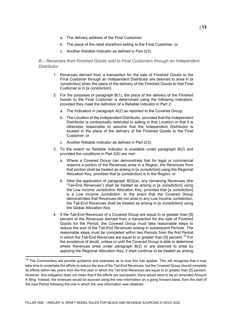- a. The delivery address of the Final Customer;
- b. The place of the retail storefront selling to the Final Customer; or
- c. Another Reliable Indicator as defined in Part 2(3).

#### *B – Revenues from Finished Goods sold to Final Customers through an Independent Distributor*

- 1. Revenues derived from a transaction for the sale of Finished Goods to the Final Customer through an Independent Distributor are deemed to arise in [a Jurisdiction] when the place of the delivery of the Finished Goods to that Final Customer is in [a Jurisdiction].
- 2. For the purposes of paragraph B(1), the place of the delivery of the Finished Goods to the Final Customer is determined using the following Indicators, provided they meet the definition of a Reliable Indicator in Part 2:
	- a. The Indicators in paragraph A(2) as reported to the Covered Group;
	- b. The Location of the Independent Distributor, provided that the Independent Distributor is contractually restricted to selling in that Location or that it is otherwise reasonable to assume that the Independent Distributor is located in the place of the delivery of the Finished Goods to the Final Customer; or
	- c. Another Reliable Indicator as defined in Part 2(3).
- 3. To the extent no Reliable Indicator is available under paragraph B(2) and provided the conditions in Part 2(6) are met:
	- a. Where a Covered Group can demonstrate that for legal or commercial reasons a portion of the Revenues arise in a Region, the Revenues from that portion shall be treated as arising in [a Jurisdiction] using the Regional Allocation Key, provided that [a Jurisdiction] is in the Region; or
	- b. After the application of paragraph B(3)(a), any remaining Revenues (the "Tail-End Revenues") shall be treated as arising in [a Jurisdiction] using the Low Income Jurisdiction Allocation Key, provided that [a Jurisdiction] is a Low Income Jurisdiction. In the event that the Covered Group demonstrates that Revenues did not arise in any Low Income Jurisdiction, the Tail-End Revenues shall be treated as arising in [a Jurisdiction] using the Global Allocation Key.
- 4. If the Tail-End Revenues of a Covered Group are equal to or greater than [5] percent of the Revenues derived from a transaction for the sale of Finished Goods for the Period, the Covered Group must take reasonable steps to reduce the size of the Tail-End Revenues arising in subsequent Periods. The reasonable steps must be completed within two Periods from the first Period in which the Tail-End Revenues are equal to or greater than [5] percent.<sup>[15](#page-13-0)</sup> For the avoidance of doubt, unless or until the Covered Group is able to determine where Revenues arise under paragraph B(2) or are deemed to arise by applying the Regional Allocation Key, it shall continue to be treated as arising

<span id="page-13-0"></span> $15$  The Commentary will provide guidance and examples as to how this rule applies. This will recognise that it may take time to undertake the efforts to reduce the size of the Tail-End Revenues, but the Covered Group should complete its efforts within two years from the first year in which the Tail-End Revenues are equal to or greater than [5] percent. However, this obligation does not mean that if the efforts are successful, there would need to be an amended Amount A filing. Instead, the revenues would be sourced using the new information on a going forward basis, from the start of the next Period following the one in which the new information was obtained.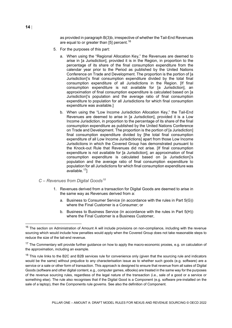as provided in paragraph B(3)b, irrespective of whether the Tail-End Revenues are equal to or greater than [5] percent.<sup>[16](#page-14-0)</sup>

- 5. For the purposes of this part:
	- a. When using the "Regional Allocation Key," the Revenues are deemed to arise in [a Jurisdiction], provided it is in the Region, in proportion to the percentage of its share of the final consumption expenditure from the calendar year prior to the Period as published by the United Nations Conference on Trade and Development. The proportion is the portion of [a Jurisdiction]'s final consumption expenditure divided by the total final consumption expenditure of all Jurisdictions in the Region. [If final consumption expenditure is not available for [a Jurisdiction], an approximation of final consumption expenditure is calculated based on [a Jurisdiction]'s population and the average ratio of final consumption expenditure to population for all Jurisdictions for which final consumption expenditure was available.]
	- b. When using the "Low Income Jurisdiction Allocation Key," the Tail-End Revenues are deemed to arise in [a Jurisdiction], provided it is a Low Income Jurisdiction, in proportion to the percentage of its share of the final consumption expenditure as published by the United Nations Conference on Trade and Development. The proportion is the portion of [a Jurisdiction] final consumption expenditure divided by [the total final consumption expenditure of all Low Income Jurisdictions] apart from those Low Income Jurisdictions in which the Covered Group has demonstrated pursuant to the Knock-out Rule that Revenues did not arise. [If final consumption expenditure is not available for [a Jurisdiction], an approximation of final consumption expenditure is calculated based on [a Jurisdiction]'s population and the average ratio of final consumption expenditure to population for all Jurisdictions for which final consumption expenditure was available.[17\]](#page-14-1)

#### *C – Revenues from Digital Goods[18](#page-14-2)*

- 1. Revenues derived from a transaction for Digital Goods are deemed to arise in the same way as Revenues derived from a:
	- a. Business to Consumer Service (in accordance with the rules in Part 5(G)) where the Final Customer is a Consumer; or
	- b. Business to Business Service (in accordance with the rules in Part 5(H)) where the Final Customer is a Business Customer,

<span id="page-14-0"></span><sup>&</sup>lt;sup>16</sup> The section on Administration of Amount A will include provisions on non-compliance, including with the revenue sourcing which would include how penalties would apply when the Covered Group does not take reasonable steps to reduce the size of the tail-end revenue.

<span id="page-14-1"></span><sup>&</sup>lt;sup>17</sup> The Commentary will provide further guidance on how to apply the macro-economic proxies, e.g. on calculation of the approximation, including an example.

<span id="page-14-2"></span> $18$  This rule links to the B2C and B2B services rule for convenience only (given that the sourcing rule and indicators would be the same) without prejudice to any characterisation issue as to whether such goods (e.g. software) are a service or a sale or other form of transaction. This approach is designed to ensure that revenue from all sales of Digital Goods (software and other digital content, e.g., computer games, eBooks) are treated in the same way for the purposes of the revenue sourcing rules, regardless of the legal nature of the transaction (i.e., sale of a good or a service or something else). The rule also recognises that if the Digital Good is a Component (e.g. software pre-installed on the sale of a laptop), then the Components rule governs. See also the definition of Component.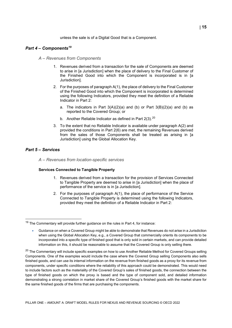unless the sale is of a Digital Good that is a Component.

#### <span id="page-15-0"></span>*Part 4 – Components[19](#page-15-2)*

- *A – Revenues from Components*
	- 1. Revenues derived from a transaction for the sale of Components are deemed to arise in [a Jurisdiction] when the place of delivery to the Final Customer of the Finished Good into which the Component is incorporated is in [a Jurisdiction].
	- 2. For the purposes of paragraph A(1), the place of delivery to the Final Customer of the Finished Good into which the Component is incorporated is determined using the following Indicators, provided they meet the definition of a Reliable Indicator in Part 2:
		- a. The indicators in Part  $3(A)(2)(a)$  and (b) or Part  $3(B)(2)(a)$  and (b) as reported to the Covered Group; or
		- b. Another Reliable Indicator as defined in Part  $2(3)$ .<sup>[20](#page-15-3)</sup>
	- 3. To the extent that no Reliable Indicator is available under paragraph A(2) and provided the conditions in Part 2(6) are met, the remaining Revenues derived from the sales of those Components shall be treated as arising in [a Jurisdiction] using the Global Allocation Key.

#### <span id="page-15-1"></span>*Part 5 – Services*

*A – Revenues from location-specific services* 

#### **Services Connected to Tangible Property**

- 1. Revenues derived from a transaction for the provision of Services Connected to Tangible Property are deemed to arise in [a Jurisdiction] when the place of performance of the service is in [a Jurisdiction].
- 2. For the purposes of paragraph A(1), the place of performance of the Service Connected to Tangible Property is determined using the following Indicators, provided they meet the definition of a Reliable Indicator in Part 2:

<span id="page-15-2"></span> $19$  The Commentary will provide further guidance on the rules in Part 4, for instance:

<sup>•</sup> Guidance on when a Covered Group might be able to demonstrate that Revenues do not arise in a Jurisdiction when using the Global Allocation Key, e.g., a Covered Group that commercially orients its components to be incorporated into a specific type of finished good that is only sold in certain markets, and can provide detailed information on this, it should be reasonable to assume that the Covered Group is only selling there.

<span id="page-15-3"></span><sup>&</sup>lt;sup>20</sup> The Commentary will include specific examples on how to use Another Reliable Method for Covered Groups selling Components. One of the examples would include the case where the Covered Group selling Components also sells finished goods, and can use its internal information on the revenue from finished goods as a proxy for its revenue from components, under specific conditions where the reliability of this approach could be demonstrated. This would need to include factors such as the materiality of the Covered Group's sales of finished goods, the connection between the type of finished goods on which the proxy is based and the type of component sold, and detailed information demonstrating a strong correlation in market share of the Covered Group's finished goods with the market share for the same finished goods of the firms that are purchasing the components.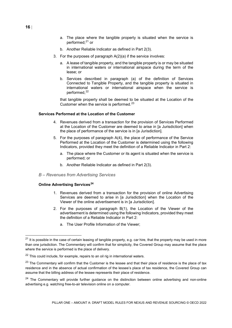- b. Another Reliable Indicator as defined in Part 2(3).
- 3. For the purposes of paragraph A(2)(a) if the service involves:
	- a. A lease of tangible property, and the tangible property is or may be situated in international waters or international airspace during the term of the lease; or
	- b. Services described in paragraph (a) of the definition of Services Connected to Tangible Property, and the tangible property is situated in international waters or international airspace when the service is performed.<sup>[22](#page-16-1)</sup>

that tangible property shall be deemed to be situated at the Location of the Customer when the service is performed.<sup>[23](#page-16-2)</sup>

#### **Services Performed at the Location of the Customer**

- 4. Revenues derived from a transaction for the provision of Services Performed at the Location of the Customer are deemed to arise in [a Jurisdiction] when the place of performance of the service is in [a Jurisdiction].
- 5. For the purposes of paragraph A(4), the place of performance of the Service Performed at the Location of the Customer is determined using the following Indicators, provided they meet the definition of a Reliable Indicator in Part 2:
	- a. The place where the Customer or its agent is situated when the service is performed; or
	- b. Another Reliable Indicator as defined in Part 2(3).
- *B – Revenues from Advertising Services*

#### **Online Advertising Services[24](#page-16-3)**

- 1. Revenues derived from a transaction for the provision of online Advertising Services are deemed to arise in [a Jurisdiction] when the Location of the Viewer of the online advertisement is in [a Jurisdiction].
- 2. For the purposes of paragraph B(1), the Location of the Viewer of the advertisement is determined using the following Indicators, provided they meet the definition of a Reliable Indicator in Part 2:
	- a. The User Profile Information of the Viewer;

<span id="page-16-0"></span> $21$  It is possible in the case of certain leasing of tangible property, e.g. car hire, that the property may be used in more than one jurisdiction. The Commentary will confirm that for simplicity, the Covered Group may assume that the place where the service is performed is the place of delivery.

<span id="page-16-1"></span> $22$  This could include, for example, repairs to an oil rig in international waters.

<span id="page-16-2"></span><sup>&</sup>lt;sup>23</sup> The Commentary will confirm that the Customer is the lessee and that their place of residence is the place of tax residence and in the absence of actual confirmation of the lessee's place of tax residence, the Covered Group can assume that the billing address of the lessee represents their place of residence.

<span id="page-16-3"></span><sup>&</sup>lt;sup>24</sup> The Commentary will provide further guidance on the distinction between online advertising and non-online advertising e.g. watching free-to-air television online on a computer.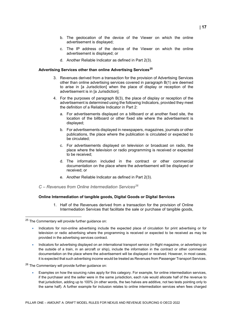- b. The geolocation of the device of the Viewer on which the online advertisement is displayed;
- c. The IP address of the device of the Viewer on which the online advertisement is displayed; or
- d. Another Reliable Indicator as defined in Part 2(3).

#### **Advertising Services other than online Advertising Services[25](#page-17-0)**

- 3. Revenues derived from a transaction for the provision of Advertising Services other than online advertising services covered in paragraph B(1) are deemed to arise in [a Jurisdiction] when the place of display or reception of the advertisement is in [a Jurisdiction].
- 4. For the purposes of paragraph B(3), the place of display or reception of the advertisement is determined using the following Indicators, provided they meet the definition of a Reliable Indicator in Part 2:
	- a. For advertisements displayed on a billboard or at another fixed site, the location of the billboard or other fixed site where the advertisement is displayed;
	- b. For advertisements displayed in newspapers, magazines, journals or other publications, the place where the publication is circulated or expected to be circulated;
	- c. For advertisements displayed on television or broadcast on radio, the place where the television or radio programming is received or expected to be received;
	- d. The information included in the contract or other commercial documentation on the place where the advertisement will be displayed or received; or
	- e. Another Reliable Indicator as defined in Part 2(3).
- *C – Revenues from Online Intermediation Services[26](#page-17-1)*

#### **Online Intermediation of tangible goods, Digital Goods or Digital Services**

1. Half of the Revenues derived from a transaction for the provision of Online Intermediation Services that facilitate the sale or purchase of tangible goods,

- Indicators for non-online advertising include the expected place of circulation for print advertising or for television or radio advertising where the programming is received or expected to be received as may be provided in the advertising services contract.
- Indicators for advertising displayed on an international transport service (in-flight magazine, or advertising on the outside of a train, in an aircraft or ship), include the information in the contract or other commercial documentation on the place where the advertisement will be displayed or received. However, in most cases, it is expected that such advertising income would be treated as Revenues from Passenger Transport Services.

<span id="page-17-1"></span><sup>26</sup> The Commentary will provide further guidance on:

• Examples on how the sourcing rules apply for this category. For example, for online intermediation services, if the purchaser and the seller were in the same jurisdiction, each rule would allocate half of the revenue to that jurisdiction, adding up to 100% (in other words, the two halves are additive, not two tests pointing only to the same half). A further example for inclusion relates to online intermediation services when fees charged

<span id="page-17-0"></span> <sup>25</sup> The Commentary will provide further guidance on: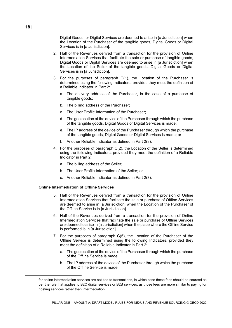Digital Goods, or Digital Services are deemed to arise in [a Jurisdiction] when the Location of the Purchaser of the tangible goods, Digital Goods or Digital Services is in [a Jurisdiction].

- 2. Half of the Revenues derived from a transaction for the provision of Online Intermediation Services that facilitate the sale or purchase of tangible goods, Digital Goods or Digital Services are deemed to arise in [a Jurisdiction] when the Location of the Seller of the tangible goods, Digital Goods or Digital Services is in [a Jurisdiction].
- 3. For the purposes of paragraph C(1), the Location of the Purchaser is determined using the following Indicators, provided they meet the definition of a Reliable Indicator in Part 2:
	- a. The delivery address of the Purchaser, in the case of a purchase of tangible goods;
	- b. The billing address of the Purchaser;
	- c. The User Profile Information of the Purchaser;
	- d. The geolocation of the device of the Purchaser through which the purchase of the tangible goods, Digital Goods or Digital Services is made;
	- e. The IP address of the device of the Purchaser through which the purchase of the tangible goods, Digital Goods or Digital Services is made; or
	- f. Another Reliable Indicator as defined in Part 2(3).
- 4. For the purposes of paragraph C(2), the Location of the Seller is determined using the following Indicators, provided they meet the definition of a Reliable Indicator in Part 2:
	- a. The billing address of the Seller;
	- b. The User Profile Information of the Seller; or
	- c. Another Reliable Indicator as defined in Part 2(3).

#### **Online Intermediation of Offline Services**

- 5. Half of the Revenues derived from a transaction for the provision of Online Intermediation Services that facilitate the sale or purchase of Offline Services are deemed to arise in [a Jurisdiction] when the Location of the Purchaser of the Offline Service is in [a Jurisdiction].
- 6. Half of the Revenues derived from a transaction for the provision of Online Intermediation Services that facilitate the sale or purchase of Offline Services are deemed to arise in [a Jurisdiction] when the place where the Offline Service is performed is in [a Jurisdiction].
- 7. For the purposes of paragraph C(5), the Location of the Purchaser of the Offline Service is determined using the following Indicators, provided they meet the definition of a Reliable Indicator in Part 2:
	- a. The geolocation of the device of the Purchaser through which the purchase of the Offline Service is made;
	- b. The IP address of the device of the Purchaser through which the purchase of the Offline Service is made;

for online intermediation services are not tied to transactions, in which case these fees should be sourced as per the rule that applies to B2C digital services or B2B services, as those fees are more similar to paying for hosting services rather than intermediation.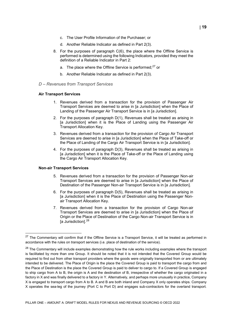- c. The User Profile Information of the Purchaser; or
- d. Another Reliable Indicator as defined in Part 2(3).
- 8. For the purposes of paragraph C(6), the place where the Offline Service is performed is determined using the following Indicators, provided they meet the definition of a Reliable Indicator in Part 2:
	- a. The place where the Offline Service is performed: $27$  or
	- b. Another Reliable Indicator as defined in Part 2(3).
- *D – Revenues from Transport Services*

#### **Air Transport Services**

- 1. Revenues derived from a transaction for the provision of Passenger Air Transport Services are deemed to arise in [a Jurisdiction] when the Place of Landing of the Passenger Air Transport Service is in [a Jurisdiction].
- 2. For the purposes of paragraph D(1), Revenues shall be treated as arising in [a Jurisdiction] when it is the Place of Landing using the Passenger Air Transport Allocation Key.
- 3. Revenues derived from a transaction for the provision of Cargo Air Transport Services are deemed to arise in [a Jurisdiction] when the Place of Take-off or the Place of Landing of the Cargo Air Transport Service is in [a Jurisdiction].
- 4. For the purposes of paragraph D(3), Revenues shall be treated as arising in [a Jurisdiction] when it is the Place of Take-off or the Place of Landing using the Cargo Air Transport Allocation Key.

#### **Non-air Transport Services**

- 5. Revenues derived from a transaction for the provision of Passenger Non-air Transport Services are deemed to arise in [a Jurisdiction] when the Place of Destination of the Passenger Non-air Transport Service is in [a Jurisdiction].
- 6. For the purposes of paragraph D(5), Revenues shall be treated as arising in [a Jurisdiction] when it is the Place of Destination using the Passenger Nonair Transport Allocation Key.
- 7. Revenues derived from a transaction for the provision of Cargo Non-air Transport Services are deemed to arise in [a Jurisdiction] when the Place of Origin or the Place of Destination of the Cargo Non-air Transport Service is in [a Jurisdiction].<sup>[28](#page-19-1)</sup>

<span id="page-19-0"></span> $27$  The Commentary will confirm that if the Offline Service is a Transport Service, it will be treated as performed in accordance with the rules on transport services (i.e. place of destination of the service).

<span id="page-19-1"></span><sup>&</sup>lt;sup>28</sup> The Commentary will include examples demonstrating how the rule works including examples where the transport is facilitated by more than one Group. It should be noted that it is not intended that the Covered Group would be required to find out from other transport providers where the goods were originally transported from or are ultimately intended to be delivered. The Place of Origin is the place the Covered Group is paid to transport the cargo from and the Place of Destination is the place the Covered Group is paid to deliver to cargo to. If a Covered Group is engaged to ship cargo from A to B, the origin is A and the destination of B, irrespective of whether the cargo originated in a factory in X and was finally delivered to a factory in Y. Alternatively, and perhaps more unusually in practice, Company X is engaged to transport cargo from A to B. A and B are both inland and Company X only operates ships. Company X operates the sea-leg of the journey (Port C to Port D) and engages sub-contractors for the overland transport.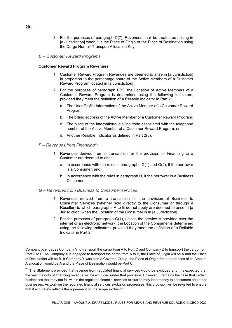- 8. For the purposes of paragraph D(7), Revenues shall be treated as arising in [a Jurisdiction] when it is the Place of Origin or the Place of Destination using the Cargo Non-air Transport Allocation Key.
- *E – Customer Reward Programs*

#### **Customer Reward Program Revenues**

- 1. Customer Reward Program Revenues are deemed to arise in [a Jurisdiction] in proportion to the percentage share of the Active Members of a Customer Reward Program located in [a Jurisdiction].
- 2. For the purposes of paragraph E(1), the Location of Active Members of a Customer Reward Program is determined using the following Indicators, provided they meet the definition of a Reliable Indicator in Part 2:
	- a. The User Profile Information of the Active Member of a Customer Reward Program;
	- b. The billing address of the Active Member of a Customer Reward Program;
	- c. The place of the international dialling code associated with the telephone number of the Active Member of a Customer Reward Program; or
	- d. Another Reliable Indicator as defined in Part 2(3).
- *F – Revenues from Financing[29](#page-20-0)*
	- 1. Revenues derived from a transaction for the provision of Financing to a Customer are deemed to arise:
		- a. In accordance with the rules in paragraphs G(1) and G(2), if the borrower is a Consumer; and
		- b. In accordance with the rules in paragraph H, if the borrower is a Business Customer.
- *G – Revenues from Business to Consumer services* 
	- 1. Revenues derived from a transaction for the provision of Business to Consumer Services (whether sold directly to the Consumer or through a Reseller) to which paragraphs A to E do not apply are deemed to arise in [a Jurisdiction] when the Location of the Consumer is in [a Jurisdiction].
	- 2. For the purposes of paragraph G(1), unless the service is provided over the internet or an electronic network, the Location of the Consumer is determined using the following Indicators, provided they meet the definition of a Reliable Indicator in Part 2:

Company X engages Company Y to transport the cargo from A to Port C and Company Z to transport the cargo from Port D to B. As Company X is engaged to transport the cargo from A to B, the Place of Origin will be A and the Place of Destination will be B. If Company Y was also a Covered Group, the Place of Origin for the purposes of its Amount A allocation would be A and the Place of Destination would be Port C.

<span id="page-20-0"></span><sup>&</sup>lt;sup>29</sup> The Statement provided that revenue from regulated financial services would be excluded and it is expected that the vast majority of financing revenue will be excluded under that provision. However, it remains the case that certain businesses that may not fall within the regulated financial services exclusion may lend money to consumers and other businesses. As work on the regulated financial services exclusion progresses, this provision will be revisited to ensure that it accurately reflects the agreement on the scope exclusion.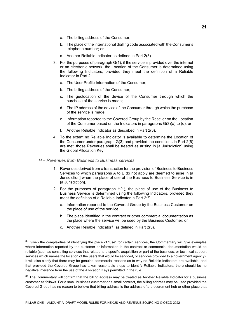- a. The billing address of the Consumer;
- b. The place of the international dialling code associated with the Consumer's telephone number; or
- c. Another Reliable Indicator as defined in Part 2(3).
- 3. For the purposes of paragraph G(1), if the service is provided over the internet or an electronic network, the Location of the Consumer is determined using the following Indicators, provided they meet the definition of a Reliable Indicator in Part 2:
	- a. The User Profile Information of the Consumer;
	- b. The billing address of the Consumer;
	- c. The geolocation of the device of the Consumer through which the purchase of the service is made;
	- d. The IP address of the device of the Consumer through which the purchase of the service is made;
	- e. Information reported to the Covered Group by the Reseller on the Location of the Consumer based on the Indicators in paragraphs G(3)(a) to (d); or
	- f. Another Reliable Indicator as described in Part 2(3).
- 4. To the extent no Reliable Indicator is available to determine the Location of the Consumer under paragraph G(3) and provided the conditions in Part 2(6) are met, those Revenues shall be treated as arising in [a Jurisdiction] using the Global Allocation Key.

#### *H – Revenues from Business to Business services*

- 1. Revenues derived from a transaction for the provision of Business to Business Services to which paragraphs A to E do not apply are deemed to arise in [a Jurisdiction] when the place of use of the Business to Business Service is in [a Jurisdiction].
- 2. For the purposes of paragraph H(1), the place of use of the Business to Business Service is determined using the following Indicators, provided they meet the definition of a Reliable Indicator in Part 2:[30](#page-21-0)
	- a. Information reported to the Covered Group by the Business Customer on the place of use of the service;
	- b. The place identified in the contract or other commercial documentation as the place where the service will be used by the Business Customer; or
	- c. Another Reliable Indicator<sup>[31](#page-21-1)</sup> as defined in Part  $2(3)$ .

<span id="page-21-0"></span> $30$  Given the complexities of identifying the place of "use" for certain services, the Commentary will give examples where information reported by the customer or information in the contract or commercial documentation would be reliable (such as consulting services that related to a specific acquisition or part of the business, or technical support services which names the location of the users that would be serviced, or services provided to a government agency). It will also clarify that there may be genuine commercial reasons as to why no Reliable Indicators are available, and that provided the Covered Group has taken reasonable steps to identify Reliable Indicators, there should be no negative inference from the use of the Allocation Keys permitted in the rule.

<span id="page-21-1"></span> $31$  The Commentary will confirm that the billing address may be treated as Another Reliable Indicator for a business customer as follows. For a small business customer or a small contract, the billing address may be used provided the Covered Group has no reason to believe that billing address is the address of a procurement hub or other place that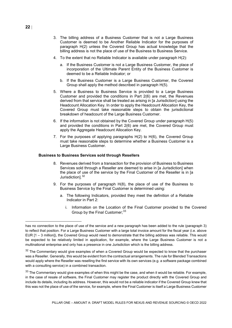- 3. The billing address of a Business Customer that is not a Large Business Customer is deemed to be Another Reliable Indicator for the purposes of paragraph H(2) unless the Covered Group has actual knowledge that the billing address is not the place of use of the Business to Business Service.
- 4. To the extent that no Reliable Indicator is available under paragraph H(2):
	- a. If the Business Customer is not a Large Business Customer, the place of incorporation of the Ultimate Parent Entity of the Business Customer is deemed to be a Reliable Indicator; or
	- b. If the Business Customer is a Large Business Customer, the Covered Group shall apply the method described in paragraph H(5).
- 5. Where a Business to Business Service is provided to a Large Business Customer and provided the conditions in Part 2(6) are met, the Revenues derived from that service shall be treated as arising in [a Jurisdiction] using the Headcount Allocation Key. In order to apply the Headcount Allocation Key, the Covered Group must take reasonable steps to obtain the jurisdictional breakdown of headcount of the Large Business Customer.
- 6. If the information is not obtained by the Covered Group under paragraph H(5) and provided the conditions in Part 2(6) are met, the Covered Group must apply the Aggregate Headcount Allocation Key.
- 7. For the purposes of applying paragraphs H(2) to H(6), the Covered Group must take reasonable steps to determine whether a Business Customer is a Large Business Customer.

#### **Business to Business Services sold through Resellers**

- 8. Revenues derived from a transaction for the provision of Business to Business Services sold through a Reseller are deemed to arise in [a Jurisdiction] when the place of use of the service by the Final Customer of the Reseller is in [a Jurisdiction].<sup>[32](#page-22-0)</sup>
- 9. For the purposes of paragraph H(8), the place of use of the Business to Business Service by the Final Customer is determined using:
	- a. The following Indicators, provided they meet the definition of a Reliable Indicator in Part 2:
		- i. Information on the Location of the Final Customer provided to the Covered Group by the Final Customer: [33](#page-22-1)

has no connection to the place of use of the service and a new paragraph has been added to the rule (paragraph 3) to reflect that position. For a Large Business Customer with a large total invoice amount for the fiscal year (i.e. above EUR [1 – 3 million]), the Covered Group would need to demonstrate that the billing address was reliable. This would be expected to be relatively limited in application, for example, where the Large Business Customer is not a multinational enterprise and only has a presence in one Jurisdiction which is the billing address.

<span id="page-22-0"></span> $32$  The Commentary would give examples of when a Covered Group would be expected to know that the purchaser was a Reseller. Generally, this would be evident from the contractual arrangements. The rule for Blended Transactions would apply where the Reseller was reselling the first service with its own services (e.g. a software package combined with a consulting service) in a combined transaction.

<span id="page-22-1"></span> $33$  The Commentary would give examples of when this might be the case, and when it would be reliable. For example, in the case of resale of software, the Final Customer may register the product directly with the Covered Group and include its details, including its address. However, this would not be a reliable indicator if the Covered Group knew that this was not the place of use of the service, for example, where the Final Customer is itself a Large Business Customer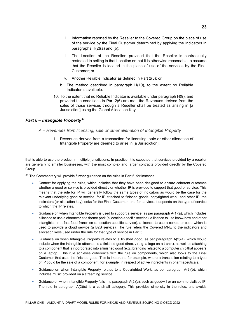- ii. Information reported by the Reseller to the Covered Group on the place of use of the service by the Final Customer determined by applying the Indicators in paragraphs H(2)(a) and (b);
- iii. The Location of the Reseller, provided that the Reseller is contractually restricted to selling in that Location or that it is otherwise reasonable to assume that the Reseller is located in the place of use of the services by the Final Customer; or
- iv. Another Reliable Indicator as defined in Part 2(3); or
- b. The method described in paragraph H(10), to the extent no Reliable Indicator is available.
- 10. To the extent that no Reliable Indicator is available under paragraph H(9), and provided the conditions in Part 2(6) are met, the Revenues derived from the sales of those services through a Reseller shall be treated as arising in [a Jurisdiction] using the Global Allocation Key.

#### <span id="page-23-0"></span>*Part 6 – Intangible Property[34](#page-23-1)*

 $\overline{a}$ 

#### *A – Revenues from licensing, sale or other alienation of Intangible Property*

1. Revenues derived from a transaction for licensing, sale or other alienation of Intangible Property are deemed to arise in [a Jurisdiction]:

<span id="page-23-1"></span> $34$  The Commentary will provide further guidance on the rules in Part 6, for instance:

- Context for applying the rules, which includes that they have been designed to ensure coherent outcomes whether a good or service is provided directly or whether IP is provided to support that good or service. This means that the rule for IP will generally follow the same types of indicators as would be the case for the relevant underlying good or service; for IP attached to finished goods, copyrighted work, and other IP, the indicators (or allocation key) looks for the Final Customer, and for services it depends on the type of service to which the IP relates.
- Guidance on when Intangible Property is used to support a service, as per paragraph A(1)(a), which includes a licence to use a character at a theme park (a location-specific service), a licence to use know-how and other intangibles in a fast food franchise (a location-specific service), a licence to use a computer code which is used to provide a cloud service (a B2B service). The rule refers the Covered MNE to the indicators and allocation keys used under the rule for that type of service in Part 5.
- Guidance on when Intangible Property relates to a finished good, as per paragraph A(2)(a), which would include when the intangible attaches to a finished good directly (e.g. a logo on a t-shirt), as well as attaching to a component that is incorporated into a finished good (e.g., branding related to a computer chip that appears on a laptop). This rule achieves coherence with the rule on components, which also looks to the Final Customer that uses the finished good. This is important, for example, where a transaction relating to a type of IP could be the sale of a component, for example, in respect of active ingredients in pharmaceuticals.
- Guidance on when Intangible Property relates to a Copyrighted Work, as per paragraph A(2)(b), which includes music provided on a streaming service.
- Guidance on when Intangible Property falls into paragraph A(2)(c), such as goodwill or un-commercialised IP. The rule in paragraph A(2)(c) is a catch-all category. This provides simplicity in the rules, and avoids

that is able to use the product in multiple jurisdictions. In practice, it is expected that services provided by a reseller are generally to smaller businesses, with the most complex and larger contracts provided directly by the Covered Group.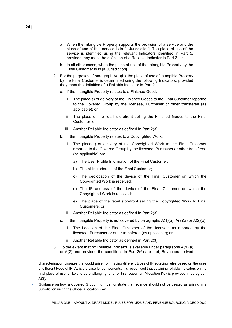- a. When the Intangible Property supports the provision of a service and the place of use of that service is in [a Jurisdiction]. The place of use of the service is identified using the relevant Indicators identified in Part 5, provided they meet the definition of a Reliable Indicator in Part 2; or
- b. In all other cases, when the place of use of the Intangible Property by the Final Customer is in [a Jurisdiction].
- 2. For the purposes of paragraph A(1)(b), the place of use of Intangible Property by the Final Customer is determined using the following Indicators, provided they meet the definition of a Reliable Indicator in Part 2:
	- a. If the Intangible Property relates to a Finished Good:
		- i. The place(s) of delivery of the Finished Goods to the Final Customer reported to the Covered Group by the licensee, Purchaser or other transferee (as applicable); or
		- ii. The place of the retail storefront selling the Finished Goods to the Final Customer; or
		- iii. Another Reliable Indicator as defined in Part 2(3).
	- b. If the Intangible Property relates to a Copyrighted Work:
		- i. The place(s) of delivery of the Copyrighted Work to the Final Customer reported to the Covered Group by the licensee, Purchaser or other transferee (as applicable) on:
			- a) The User Profile Information of the Final Customer;
			- b) The billing address of the Final Customer;
			- c) The geolocation of the device of the Final Customer on which the Copyrighted Work is received;
			- d) The IP address of the device of the Final Customer on which the Copyrighted Work is received;
			- e) The place of the retail storefront selling the Copyrighted Work to Final Customers; or
		- ii. Another Reliable Indicator as defined in Part 2(3).
	- c. If the Intangible Property is not covered by paragraphs  $A(1)(a)$ ,  $A(2)(a)$  or  $A(2)(b)$ :
		- i. The Location of the Final Customer of the licensee, as reported by the licensee, Purchaser or other transferee (as applicable); or
		- ii. Another Reliable Indicator as defined in Part 2(3).
- 3. To the extent that no Reliable Indicator is available under paragraphs  $A(1)(a)$ or A(2) and provided the conditions in Part 2(6) are met, Revenues derived

characterisation disputes that could arise from having different types of IP sourcing rules based on the uses of different types of IP. As is the case for components, it is recognised that obtaining reliable indicators on the final place of use is likely to be challenging, and for this reason an Allocation Key is provided in paragraph A(3).

<sup>•</sup> Guidance on how a Covered Group might demonstrate that revenue should not be treated as arising in a Jurisdiction using the Global Allocation Key.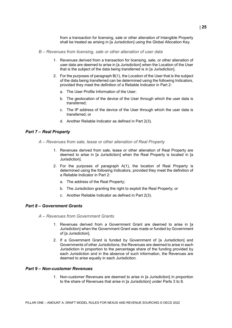from a transaction for licensing, sale or other alienation of Intangible Property shall be treated as arising in [a Jurisdiction] using the Global Allocation Key.

- *B – Revenues from licensing, sale or other alienation of user data*
	- 1. Revenues derived from a transaction for licensing, sale, or other alienation of user data are deemed to arise in [a Jurisdiction] when the Location of the User that is the subject of the data being transferred is in [a Jurisdiction].
	- 2. For the purposes of paragraph B(1), the Location of the User that is the subject of the data being transferred can be determined using the following Indicators, provided they meet the definition of a Reliable Indicator in Part 2:
		- a. The User Profile Information of the User;
		- b. The geolocation of the device of the User through which the user data is transferred;
		- c. The IP address of the device of the User through which the user data is transferred; or
		- d. Another Reliable Indicator as defined in Part 2(3).

#### <span id="page-25-0"></span>*Part 7 – Real Property*

- *A – Revenues from sale, lease or other alienation of Real Property*
	- 1. Revenues derived from sale, lease or other alienation of Real Property are deemed to arise in [a Jurisdiction] when the Real Property is located in [a Jurisdiction].
	- 2. For the purposes of paragraph A(1), the location of Real Property is determined using the following Indicators, provided they meet the definition of a Reliable Indicator in Part 2:
		- a. The address of the Real Property;
		- b. The Jurisdiction granting the right to exploit the Real Property; or
		- c. Another Reliable Indicator as defined in Part 2(3).

#### <span id="page-25-1"></span>*Part 8 – Government Grants*

- *A – Revenues from Government Grants*
	- 1. Revenues derived from a Government Grant are deemed to arise in [a Jurisdiction] when the Government Grant was made or funded by Government of [a Jurisdiction].
	- 2. If a Government Grant is funded by Government of [a Jurisdiction] and Governments of other Jurisdictions, the Revenues are deemed to arise in each Jurisdiction in proportion to the percentage share of the funding provided by each Jurisdiction and in the absence of such information, the Revenues are deemed to arise equally in each Jurisdiction.

#### <span id="page-25-2"></span>*Part 9 – Non-customer Revenues*

1. Non-customer Revenues are deemed to arise in [a Jurisdiction] in proportion to the share of Revenues that arise in [a Jurisdiction] under Parts 3 to 8.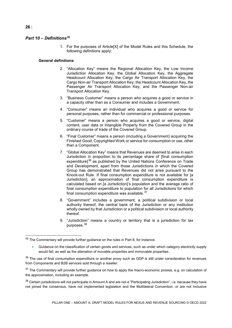#### <span id="page-26-0"></span>*Part 10 – Definition[s35](#page-26-1)*

1. For the purposes of Article[X] of the Model Rules and this Schedule, the following definitions apply:

#### **General definitions**

- 2. "Allocation Key" means the Regional Allocation Key, the Low Income Jurisdiction Allocation Key, the Global Allocation Key, the Aggregate Headcount Allocation Key, the Cargo Air Transport Allocation Key, the Cargo Non-air Transport Allocation Key, the Headcount Allocation Key, the Passenger Air Transport Allocation Key, and the Passenger Non-air Transport Allocation Key.
- 3. "Business Customer" means a person who acquires a good or service in a capacity other than as a Consumer and includes a Government.
- 4. "Consumer" means an individual who acquires a good or service for personal purposes, rather than for commercial or professional purposes.
- 5. "Customer" means a person who acquires a good or service, digital content, user data or Intangible Property from the Covered Group in the ordinary course of trade of the Covered Group.
- 6. "Final Customer" means a person (including a Government) acquiring the Finished Good, Copyrighted Work or service for consumption or use, other than a Component.
- 7. "Global Allocation Key" means that Revenues are deemed to arise in each Jurisdiction in proportion to its percentage share of [final consumption expenditure]<sup>[36](#page-26-2)</sup> as published by the United Nations Conference on Trade and Development, apart from those Jurisdictions in which the Covered Group has demonstrated that Revenues did not arise pursuant to the Knock-out Rule. If final consumption expenditure is not available for [a Jurisdiction], an approximation of final consumption expenditure is calculated based on [a Jurisdiction]'s population and the average ratio of final consumption expenditure to population for all Jurisdictions for which final consumption expenditure was available. $37$
- 8. "Government" includes a government, a political subdivision or local authority thereof, the central bank of the Jurisdiction or any institution wholly owned by that Jurisdiction or a political subdivision or local authority thereof.
- 9. "Jurisdiction" means a country or territory that is a jurisdiction for tax purposes.[38](#page-26-4)

<span id="page-26-4"></span>38 Certain jurisdictions will not participate in Amount A and are not a "Participating Jurisdiction", i.e. because they have not joined the consensus, have not implemented legislation and the Multilateral Convention, or are not Inclusive

<span id="page-26-1"></span> $35$  The Commentary will provide further guidance on the rules in Part 8, for instance:

<sup>•</sup> Guidance on the classification of certain goods and services, such as under which category electricity supply would fall, as well as the alienation of movable properties and immovable properties.

<span id="page-26-2"></span> $36$  The use of final consumption expenditure or another proxy such as GDP is still under consideration for revenues from Components and B2B services sold through a reseller.

<span id="page-26-3"></span><sup>&</sup>lt;sup>37</sup> The Commentary will provide further guidance on how to apply the macro-economic proxies, e.g. on calculation of the approximation, including an example.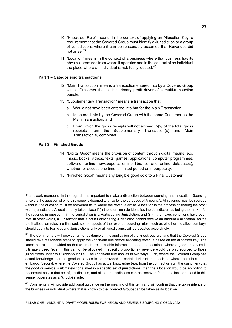- 10. "Knock-out Rule" means, in the context of applying an Allocation Key, a requirement that the Covered Group must identify a Jurisdiction or a group of Jurisdictions where it can be reasonably assumed that Revenues did not arise. [39](#page-27-0)
- 11. "Location" means in the context of a business where that business has its physical premises from where it operates and in the context of an individual the place where an individual is habitually located.<sup>[40](#page-27-1)</sup>

#### **Part 1 – Categorising transactions**

- 12. "Main Transaction" means a transaction entered into by a Covered Group with a Customer that is the primary profit driver of a multi-transaction bundle.
- 13. "Supplementary Transaction" means a transaction that:
	- a. Would not have been entered into but for the Main Transaction;
	- b. Is entered into by the Covered Group with the same Customer as the Main Transaction; and
	- c. From which the gross receipts will not exceed [5]% of the total gross receipts from the Supplementary Transaction(s) and Main Transaction(s) combined.

#### **Part 3 – Finished Goods**

- 14. "Digital Good" means the provision of content through digital means (e.g. music, books, videos, texts, games, applications, computer programmes, software, online newspapers, online libraries and online databases), whether for access one time, a limited period or in perpetuity.
- 15. "Finished Good" means any tangible good sold to a Final Customer.

Framework members. In this regard, it is important to make a distinction between sourcing and allocation. Sourcing answers the question of where revenue is deemed to arise for the purposes of Amount A. All revenue must be sourced – that is, the question must be answered as to where the revenue arose. Allocation is the process of sharing the profit with a jurisdiction. Allocation only takes place if (i) the sourcing rule identifies the Jurisdiction as being the market for the revenue in question; (ii) the Jurisdiction is a Participating Jurisdiction; and (iii) if the nexus conditions have been met. In other words, a Jurisdiction that is not a Participating Jurisdiction cannot receive an Amount A allocation. As the profit allocation rules are finalised, some aspects of the revenue sourcing rules, such as whether the allocation keys should apply to Participating Jurisdictions only or all jurisdictions, will be updated accordingly.

<span id="page-27-0"></span><sup>&</sup>lt;sup>39</sup> The Commentary will provide further guidance on the application of the knock-out rule, and that the Covered Group should take reasonable steps to apply the knock-out rule before allocating revenue based on the allocation key. The knock-out rule is provided so that where there is reliable information about the locations where a good or service is ultimately used (even if this cannot be allocated in specific proportions), revenue would be only sourced to those jurisdictions under this "knock-out rule." The knock-out rule applies in two ways. First, where the Covered Group has actual knowledge that the good or service is not provided to certain jurisdictions, such as where there is a trade embargo. Second, where the Covered Group has actual knowledge (e.g. from the contract or from the customer) that the good or service is ultimately consumed in a specific set of jurisdictions, then the allocation would be according to headcount only in that set of jurisdictions, and all other jurisdictions can be removed from the allocation – and in this sense it operates as a "knock-in" rule.

<span id="page-27-1"></span> $40$  Commentary will provide additional quidance on the meaning of this term and will confirm that the tax residence of the business or individual (where that is known to the Covered Group) can be taken as its location.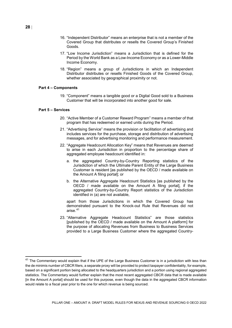- 16. "Independent Distributor" means an enterprise that is not a member of the Covered Group that distributes or resells the Covered Group's Finished Goods.
- 17. "Low Income Jurisdiction" means a Jurisdiction that is defined for the Period by the World Bank as a Low-Income Economy or as a Lower-Middle Income Economy.
- 18. "Region" means a group of Jurisdictions in which an Independent Distributor distributes or resells Finished Goods of the Covered Group, whether associated by geographical proximity or not.

#### **Part 4 – Components**

19. "Component" means a tangible good or a Digital Good sold to a Business Customer that will be incorporated into another good for sale.

#### **Part 5 – Services**

- 20. "Active Member of a Customer Reward Program" means a member of that program that has redeemed or earned units during the Period.
- 21. "Advertising Service" means the provision or facilitation of advertising and includes services for the purchase, storage and distribution of advertising messages, and for advertising monitoring and performance measurement.
- 22. "Aggregate Headcount Allocation Key" means that Revenues are deemed to arise in each Jurisdiction in proportion to the percentage share of aggregated employee headcount identified in:
	- a. the aggregated Country-by-Country Reporting statistics of the Jurisdiction of which the Ultimate Parent Entity of the Large Business Customer is resident [as published by the OECD / made available on the Amount A filing portal]; or
	- b. the Alternative Aggregate Headcount Statistics [as published by the OECD / made available on the Amount A filing portal], if the aggregated Country-by-Country Report statistics of the Jurisdiction identified in (a) are not available,

apart from those Jurisdictions in which the Covered Group has demonstrated pursuant to the Knock-out Rule that Revenues did not arise. [41](#page-28-0)

23. "Alternative Aggregate Headcount Statistics" are those statistics [published by the OECD / made available on the Amount A platform] for the purpose of allocating Revenues from Business to Business Services provided to a Large Business Customer where the aggregated Country-

<span id="page-28-0"></span> $41$  The Commentary would explain that if the UPE of the Large Business Customer is in a jurisdiction with less than the de minimis number of CBCR filers, a separate proxy will be provided to protect taxpayer confidentiality, for example, based on a significant portion being allocated to the headquarters jurisdiction and a portion using regional aggregated statistics. The Commentary would further explain that the most recent aggregated CBCR data that is made available [in the Amount A portal] should be used for this purpose, even though the data in the aggregated CBCR information would relate to a fiscal year prior to the one for which revenue is being sourced.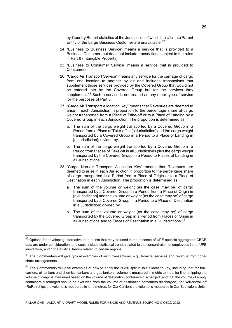by-Country Report statistics of the Jurisdiction of which the Ultimate Parent Entity of the Large Business Customer are unavailable.<sup>[42](#page-29-0)</sup>

- 24. "Business to Business Service" means a service that is provided to a Business Customer, but does not include transactions subject to the rules in Part 6 (Intangible Property).
- 25. "Business to Consumer Service" means a service that is provided to Consumers.
- 26. "Cargo Air Transport Service" means any service for the carriage of cargo from one location to another by air and includes transactions that supplement those services provided by the Covered Group that would not be entered into by the Covered Group but for the services they supplement.<sup>[43](#page-29-1)</sup> Such a service is not treated as any other type of service for the purposes of Part 5.
- 27. "Cargo Air Transport Allocation Key" means that Revenues are deemed to arise in each Jurisdiction in proportion to the percentage share of cargo weight transported from a Place of Take-off or to a Place of Landing by a Covered Group in each Jurisdiction. The proportion is determined as:
	- a. The sum of the cargo weight transported by a Covered Group in a Period from a Place of Take-off in [a Jurisdiction] and the cargo weight transported by a Covered Group in a Period to a Place of Landing in [a Jurisdiction]; divided by
	- b. The sum of the cargo weight transported by a Covered Group in a Period from Places of Take-off in all Jurisdictions plus the cargo weight transported by the Covered Group in a Period to Places of Landing in all Jurisdictions.
- 28. "Cargo Non-air Transport Allocation Key" means that Revenues are deemed to arise in each Jurisdiction in proportion to the percentage share of cargo transported in a Period from a Place of Origin or to a Place of Destination in each Jurisdiction. The proportion is determined as:
	- a. The sum of the volume or weight (as the case may be) of cargo transported by a Covered Group in a Period from a Place of Origin in [a Jurisdiction] and the volume or weight (as the case may be) of cargo transported by a Covered Group in a Period to a Place of Destination in a Jurisdiction; divided by
	- b. The sum of the volume or weight (as the case may be) of cargo transported by the Covered Group in a Period from Places of Origin in all Jurisdictions and to Places of Destination in all Jurisdictions. [44](#page-29-2)

<span id="page-29-0"></span> $42$  Options for developing alternative data points that may be used in the absence of UPE-specific aggregated CBCR data are under consideration, and could include statistical trends related to the concentration of employees in the UPE jurisdiction, and / or statistical trends related to certain regions.

<span id="page-29-1"></span><sup>&</sup>lt;sup>43</sup> The Commentary will give typical examples of such transactions, e.g., terminal services and revenue from codeshare arrangements.

<span id="page-29-2"></span><sup>&</sup>lt;sup>44</sup> The Commentary will give examples of how to apply the 50/50 split in this allocation key, including that for bulk carriers, oil tankers and chemical tankers and gas tankers, volume is measured in metric tonnes; for liner shipping the volume of cargo is measured based on the volume of destination containers discharged (and that the volume of empty containers discharged should be excluded from the volume of destination containers discharged); for Roll-on/roll-off (RoRo) ships the volume is measured in lane metres; for Car Carriers the volume is measured in Car Equivalent Units;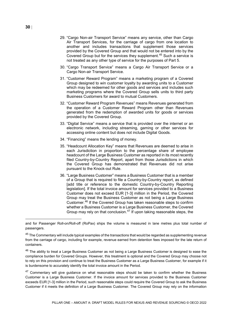- 29. "Cargo Non-air Transport Service" means any service, other than Cargo Air Transport Services, for the carriage of cargo from one location to another and includes transactions that supplement those services provided by the Covered Group and that would not be entered into by the Covered Group but for the services they supplement.<sup>[45](#page-30-0)</sup> Such a service is not treated as any other type of service for the purposes of Part 5.
- 30. "Cargo Transport Service" means a Cargo Air Transport Service or a Cargo Non-air Transport Service.
- 31. "Customer Reward Program" means a marketing program of a Covered Group designed to win customer loyalty by awarding units to a Customer which may be redeemed for other goods and services and includes such marketing programs where the Covered Group sells units to third party Business Customers for award to mutual Customers.
- 32. "Customer Reward Program Revenues" means Revenues generated from the operation of a Customer Reward Program other than Revenues generated from the redemption of awarded units for goods or services provided by the Covered Group.
- 33. "Digital Service" means a service that is provided over the internet or an electronic network, including streaming, gaming or other services for accessing online content but does not include Digital Goods.
- 34. "Financing" means the lending of money.
- 35. "Headcount Allocation Key" means that Revenues are deemed to arise in each Jurisdiction in proportion to the percentage share of employee headcount of the Large Business Customer as reported in its most recently filed Country-by-Country Report, apart from those Jurisdictions in which the Covered Group has demonstrated that Revenues did not arise pursuant to the Knock-out Rule.
- 36. "Large Business Customer" means a Business Customer that is a member of a Group that is required to file a Country-by-Country report, as defined [add title or reference to the domestic Country-by-Country Reporting legislation]. If the total invoice amount for services provided to a Business Customer does not exceed EUR [1-3] million in the Period, the Covered Group may treat the Business Customer as not being a Large Business Customer.[46](#page-30-1) If the Covered Group has taken reasonable steps to confirm whether a Business Customer is a Large Business Customer, the Covered Group may rely on that conclusion.<sup>[47](#page-30-2)</sup> If upon taking reasonable steps, the

 $\ddot{\phantom{a}}$ 

and for Passenger Roll-on/Roll-off (RoPax) ships the volume is measured in lane metres plus total number of passengers.

<span id="page-30-0"></span> $45$  The Commentary will include typical examples of the transactions that would be regarded as supplementing revenue from the carriage of cargo, including for example, revenue earned from detention fees imposed for the late return of containers.

<span id="page-30-1"></span><sup>&</sup>lt;sup>46</sup> The ability to treat a Large Business Customer as not being a Large Business Customer is designed to ease the compliance burden for Covered Groups. However, this treatment is optional and the Covered Group may choose not to rely on this provision and continue to treat the Business Customer as a Large Business Customer, for example if it is burdensome to accurately identify the total invoice amount in the Period.

<span id="page-30-2"></span> $47$  Commentary will give guidance on what reasonable steps should be taken to confirm whether the Business Customer is a Large Business Customer. If the invoice amount for services provided to the Business Customer exceeds EUR [1-3] million in the Period, such reasonable steps could require the Covered Group to ask the Business Customer if it meets the definition of a Large Business Customer. The Covered Group may rely on the information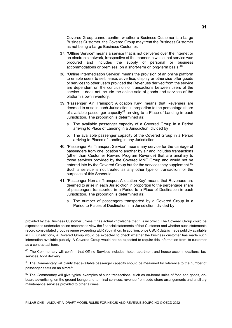Covered Group cannot confirm whether a Business Customer is a Large Business Customer, the Covered Group may treat the Business Customer as not being a Large Business Customer.

- 37. "Offline Service" means a service that is not delivered over the internet or an electronic network, irrespective of the manner in which that service was procured and includes the supply of personal or business accommodations or premises, on a short-term or long-term basis.<sup>[48](#page-31-0)</sup>
- 38. "Online Intermediation Service" means the provision of an online platform to enable users to sell, lease, advertise, display or otherwise offer goods or services to other users provided the Revenues derived from the service are dependent on the conclusion of transactions between users of the service. It does not include the online sale of goods and services of the platform's own inventory.
- 39. "Passenger Air Transport Allocation Key" means that Revenues are deemed to arise in each Jurisdiction in proportion to the percentage share of available passenger capacity<sup>[49](#page-31-1)</sup> arriving to a Place of Landing in each Jurisdiction. The proportion is determined as:
	- a. The available passenger capacity of a Covered Group in a Period arriving to Place of Landing in a Jurisdiction; divided by
	- b. The available passenger capacity of the Covered Group in a Period arriving to Places of Landing in any Jurisdiction.
- 40. "Passenger Air Transport Service" means any service for the carriage of passengers from one location to another by air and includes transactions (other than Customer Reward Program Revenue) that are ancillary to those services provided by the Covered MNE Group and would not be entered into by the Covered Group but for the services they supplement.<sup>[50](#page-31-2)</sup> Such a service is not treated as any other type of transaction for the purposes of this Schedule.
- 41. "Passenger Non-air Transport Allocation Key" means that Revenues are deemed to arise in each Jurisdiction in proportion to the percentage share of passengers transported in a Period to a Place of Destination in each Jurisdiction. The proportion is determined as:
	- a. The number of passengers transported by a Covered Group in a Period to Places of Destination in a Jurisdiction; divided by

 $\ddot{\phantom{a}}$ 

provided by the Business Customer unless it has actual knowledge that it is incorrect. The Covered Group could be expected to undertake online research to view the financial statements of that Customer and whether such statements record consolidated group revenue exceeding EUR 750 million. In addition, once CBCR data is made publicly available in EU jurisdictions, a Covered Group would be expected to check whether the business customer has made such information available publicly. A Covered Group would not be expected to require this information from its customer as a contractual term.

<span id="page-31-0"></span><sup>&</sup>lt;sup>48</sup> The Commentary will confirm that Offline Services includes: hotel, apartment and house accommodations, taxi services, food delivery.

<span id="page-31-1"></span><sup>&</sup>lt;sup>49</sup> The Commentary will clarify that available passenger capacity should be measured by reference to the number of passenger seats on an aircraft.

<span id="page-31-2"></span><sup>50</sup> The Commentary will give typical examples of such transactions, such as on-board sales of food and goods, onboard advertising, on the ground lounge and terminal services, revenue from code-share arrangements and ancillary maintenance services provided to other airlines.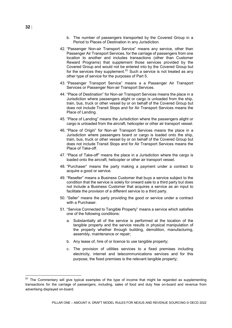- b. The number of passengers transported by the Covered Group in a Period to Places of Destination in any Jurisdiction.
- 42. "Passenger Non-air Transport Service" means any service, other than Passenger Air Transport Services, for the carriage of passengers from one location to another and includes transactions (other than Customer Reward Programs) that supplement those services provided by the Covered Group and would not be entered into by the Covered Group but for the services they supplement.<sup>[51](#page-32-0)</sup> Such a service is not treated as any other type of service for the purposes of Part 5.
- 43. "Passenger Transport Service" means a a Passenger Air Transport Services or Passenger Non-air Transport Services.
- 44. "Place of Destination" for Non-air Transport Services means the place in a Jurisdiction where passengers alight or cargo is unloaded from the ship, train, bus, truck or other vessel by or on behalf of the Covered Group but does not include Transit Stops and for Air Transport Services means the Place of Landing.
- 45. "Place of Landing" means the Jurisdiction where the passengers alight or cargo is unloaded from the aircraft, helicopter or other air transport vessel.
- 46. "Place of Origin" for Non-air Transport Services means the place in a Jurisdiction where passengers board or cargo is loaded onto the ship, train, bus, truck or other vessel by or on behalf of the Covered Group but does not include Transit Stops and for Air Transport Services means the Place of Take-off.
- 47. "Place of Take-off" means the place in a Jurisdiction where the cargo is loaded onto the aircraft, helicopter or other air transport vessel.
- 48. "Purchaser" means the party making a payment under a contract to acquire a good or service.
- 49. "Reseller" means a Business Customer that buys a service subject to the condition that the service is solely for onward sale to a third party but does not include a Business Customer that acquires a service as an input to facilitate the provision of a different service to a third party.
- 50. "Seller" means the party providing the good or service under a contract with a Purchaser.
- 51. "Service Connected to Tangible Property" means a service which satisfies one of the following conditions:
	- a. Substantially all of the service is performed at the location of the tangible property and the service results in physical manipulation of the property whether through building, demolition, manufacturing, assembly, maintenance or repair;
	- b. Any lease of, hire of or licence to use tangible property;
	- c. The provision of utilities services to a fixed premises including electricity, internet and telecommunications services and for this purpose, the fixed premises is the relevant tangible property;

<span id="page-32-0"></span><sup>&</sup>lt;sup>51</sup> The Commentary will give typical examples of the type of income that might be regarded as supplementing transactions for the carriage of passengers, including, sales of food and duty free on-board and revenue from advertising displayed on-board.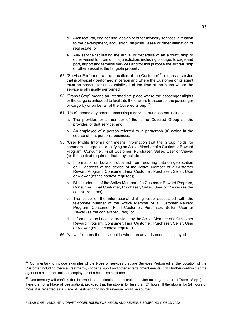- d. Architectural, engineering, design or other advisory services in relation to the development, acquisition, disposal, lease or other alienation of real estate; or
- e. Any service facilitating the arrival or departure of an aircraft, ship or other vessel to, from or in a jurisdiction, including pilotage, towage and port, airport and terminal services and for this purpose the aircraft, ship or other vessel is the tangible property.
- [52](#page-33-0). "Service Performed at the Location of the Customer"<sup>52</sup> means a service that is physically performed in person and where the Customer or its agent must be present for substantially all of the time at the place where the service is physically performed.
- 53. "Transit Stop" means an intermediate place where the passenger alights or the cargo is unloaded to facilitate the onward transport of the passenger or cargo by or on behalf of the Covered Group.<sup>[53](#page-33-1)</sup>
- 54. "User" means any person accessing a service, but does not include:
	- a. The provider, or a member of the same Covered Group as the provider, of that service; and
	- b. An employee of a person referred to in paragraph (a) acting in the course of that person's business.
- 55. "User Profile Information" means information that the Group holds for commercial purposes identifying an Active Member of a Customer Reward Program, Consumer, Final Customer, Purchaser, Seller, User or Viewer (as the context requires), that may include:
	- a. Information on Location obtained from recurring data on geolocation or IP address of the device of the Active Member of a Customer Reward Program, Consumer, Final Customer, Purchaser, Seller, User or Viewer (as the context requires);
	- b. Billing address of the Active Member of a Customer Reward Program, Consumer, Final Customer, Purchaser, Seller, User or Viewer (as the context requires);
	- c. The place of the international dialling code associated with the telephone number of the Active Member of a Customer Reward Program, Consumer, Final Customer, Purchaser, Seller, User or Viewer (as the context requires); or
	- d. Information on Location provided by the Active Member of a Customer Reward Program, Consumer, Final Customer, Purchaser, Seller, User or Viewer (as the context requires).
- 56. "Viewer" means the individual to whom an advertisement is displayed.

<span id="page-33-0"></span><sup>52</sup> Commentary to include examples of the types of services that are Services Performed at the Location of the Customer including medical treatments, concerts, sport and other entertainment events. It will further confirm that the agent of a customer includes employees of a business customer.

<span id="page-33-1"></span><sup>53</sup> Commentary will confirm that intermediate destinations on a cruise service are regarded as a Transit Stop (and therefore not a Place of Destination), provided that the stop is for less than 24 hours. If the stop is for 24 hours or more, it is regarded as a Place of Destination to which revenue would be sourced.